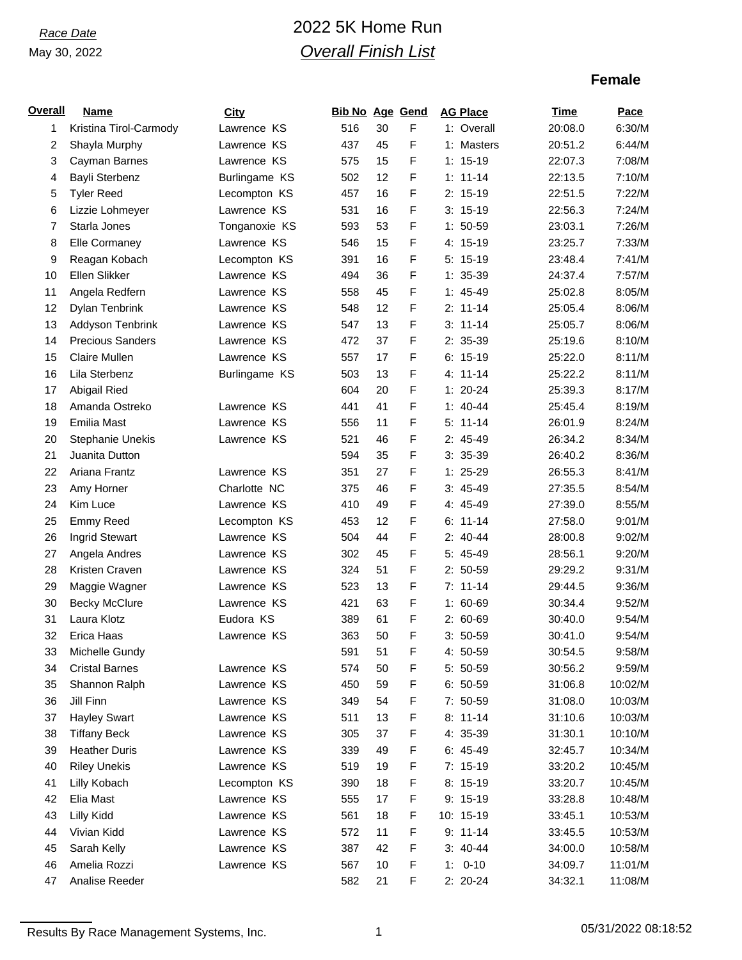# *Race Date* 2022 5K Home Run *Overall Finish List*

## **Female**

| <b>Overall</b> | Name                    | City          | <b>Bib No Age Gend</b> |    |   | <b>AG Place</b> | Time    | Pace    |
|----------------|-------------------------|---------------|------------------------|----|---|-----------------|---------|---------|
| 1              | Kristina Tirol-Carmody  | Lawrence KS   | 516                    | 30 | F | 1: Overall      | 20:08.0 | 6:30/M  |
| 2              | Shayla Murphy           | Lawrence KS   | 437                    | 45 | F | 1: Masters      | 20:51.2 | 6:44/M  |
| 3              | Cayman Barnes           | Lawrence KS   | 575                    | 15 | F | $1: 15-19$      | 22:07.3 | 7:08/M  |
| 4              | Bayli Sterbenz          | Burlingame KS | 502                    | 12 | F | $1: 11 - 14$    | 22:13.5 | 7:10/M  |
| 5              | <b>Tyler Reed</b>       | Lecompton KS  | 457                    | 16 | F | $2: 15-19$      | 22:51.5 | 7:22/M  |
| 6              | Lizzie Lohmeyer         | Lawrence KS   | 531                    | 16 | F | $3: 15-19$      | 22:56.3 | 7:24/M  |
| 7              | Starla Jones            | Tonganoxie KS | 593                    | 53 | F | $1: 50-59$      | 23:03.1 | 7:26/M  |
| 8              | Elle Cormaney           | Lawrence KS   | 546                    | 15 | F | 4: 15-19        | 23:25.7 | 7:33/M  |
| 9              | Reagan Kobach           | Lecompton KS  | 391                    | 16 | F | $5: 15-19$      | 23:48.4 | 7:41/M  |
| 10             | Ellen Slikker           | Lawrence KS   | 494                    | 36 | F | $1: 35-39$      | 24:37.4 | 7:57/M  |
| 11             | Angela Redfern          | Lawrence KS   | 558                    | 45 | F | $1: 45-49$      | 25:02.8 | 8:05/M  |
| 12             | Dylan Tenbrink          | Lawrence KS   | 548                    | 12 | F | $2: 11-14$      | 25:05.4 | 8:06/M  |
| 13             | Addyson Tenbrink        | Lawrence KS   | 547                    | 13 | F | $3: 11-14$      | 25:05.7 | 8:06/M  |
| 14             | <b>Precious Sanders</b> | Lawrence KS   | 472                    | 37 | F | 2: 35-39        | 25:19.6 | 8:10/M  |
| 15             | Claire Mullen           | Lawrence KS   | 557                    | 17 | F | $6: 15-19$      | 25:22.0 | 8:11/M  |
| 16             | Lila Sterbenz           | Burlingame KS | 503                    | 13 | F | 4: 11-14        | 25:22.2 | 8:11/M  |
| 17             | Abigail Ried            |               | 604                    | 20 | F | $1: 20 - 24$    | 25:39.3 | 8:17/M  |
| 18             | Amanda Ostreko          | Lawrence KS   | 441                    | 41 | F | $1: 40-44$      | 25:45.4 | 8:19/M  |
| 19             | Emilia Mast             | Lawrence KS   | 556                    | 11 | F | $5: 11-14$      | 26:01.9 | 8:24/M  |
| 20             | <b>Stephanie Unekis</b> | Lawrence KS   | 521                    | 46 | F | 2: 45-49        | 26:34.2 | 8:34/M  |
| 21             | Juanita Dutton          |               | 594                    | 35 | F | $3: 35-39$      | 26:40.2 | 8:36/M  |
| 22             | Ariana Frantz           | Lawrence KS   | 351                    | 27 | F | $1: 25-29$      | 26:55.3 | 8:41/M  |
| 23             | Amy Horner              | Charlotte NC  | 375                    | 46 | F | $3: 45-49$      | 27:35.5 | 8:54/M  |
| 24             | Kim Luce                | Lawrence KS   | 410                    | 49 | F | 4: 45-49        | 27:39.0 | 8:55/M  |
| 25             | Emmy Reed               | Lecompton KS  | 453                    | 12 | F | $6: 11 - 14$    | 27:58.0 | 9:01/M  |
| 26             | Ingrid Stewart          | Lawrence KS   | 504                    | 44 | F | $2: 40-44$      | 28:00.8 | 9:02/M  |
| 27             | Angela Andres           | Lawrence KS   | 302                    | 45 | F | 5: 45-49        | 28:56.1 | 9:20/M  |
| 28             | Kristen Craven          | Lawrence KS   | 324                    | 51 | F | 2: 50-59        | 29:29.2 | 9:31/M  |
| 29             | Maggie Wagner           | Lawrence KS   | 523                    | 13 | F | $7: 11-14$      | 29:44.5 | 9:36/M  |
| 30             | <b>Becky McClure</b>    | Lawrence KS   | 421                    | 63 | F | $1: 60-69$      | 30:34.4 | 9:52/M  |
| 31             | Laura Klotz             | Eudora KS     | 389                    | 61 | F | $2: 60-69$      | 30:40.0 | 9:54/M  |
| 32             | Erica Haas              | Lawrence KS   | 363                    | 50 | F | $3: 50-59$      | 30:41.0 | 9:54/M  |
| 33             | Michelle Gundy          |               | 591                    | 51 | F | 4: 50-59        | 30:54.5 | 9:58/M  |
| 34             | <b>Cristal Barnes</b>   | Lawrence KS   | 574                    | 50 | F | 5: 50-59        | 30:56.2 | 9:59/M  |
| 35             | Shannon Ralph           | Lawrence KS   | 450                    | 59 | F | 6: 50-59        | 31:06.8 | 10:02/M |
| 36             | Jill Finn               | Lawrence KS   | 349                    | 54 | F | 7: 50-59        | 31:08.0 | 10:03/M |
| 37             | <b>Hayley Swart</b>     | Lawrence KS   | 511                    | 13 | F | $8: 11-14$      | 31:10.6 | 10:03/M |
| 38             | <b>Tiffany Beck</b>     | Lawrence KS   | 305                    | 37 | F | 4: 35-39        | 31:30.1 | 10:10/M |
| 39             | <b>Heather Duris</b>    | Lawrence KS   | 339                    | 49 | F | 6: 45-49        | 32:45.7 | 10:34/M |
| 40             | <b>Riley Unekis</b>     | Lawrence KS   | 519                    | 19 | F | 7: 15-19        | 33:20.2 | 10:45/M |
| 41             | Lilly Kobach            | Lecompton KS  | 390                    | 18 | F | $8: 15-19$      | 33:20.7 | 10:45/M |
| 42             | Elia Mast               | Lawrence KS   | 555                    | 17 | F | $9: 15-19$      | 33:28.8 | 10:48/M |
| 43             | Lilly Kidd              | Lawrence KS   | 561                    | 18 | F | 10: 15-19       | 33:45.1 | 10:53/M |
| 44             | Vivian Kidd             | Lawrence KS   | 572                    | 11 | F | $9: 11-14$      | 33:45.5 | 10:53/M |
| 45             | Sarah Kelly             | Lawrence KS   | 387                    | 42 | F | $3: 40-44$      | 34:00.0 | 10:58/M |
| 46             | Amelia Rozzi            | Lawrence KS   | 567                    | 10 | F | $1: 0-10$       | 34:09.7 | 11:01/M |
| 47             | Analise Reeder          |               | 582                    | 21 | F | 2: 20-24        | 34:32.1 | 11:08/M |
|                |                         |               |                        |    |   |                 |         |         |

Results By Race Management Systems, Inc. 1 05/31/2022 08:18:52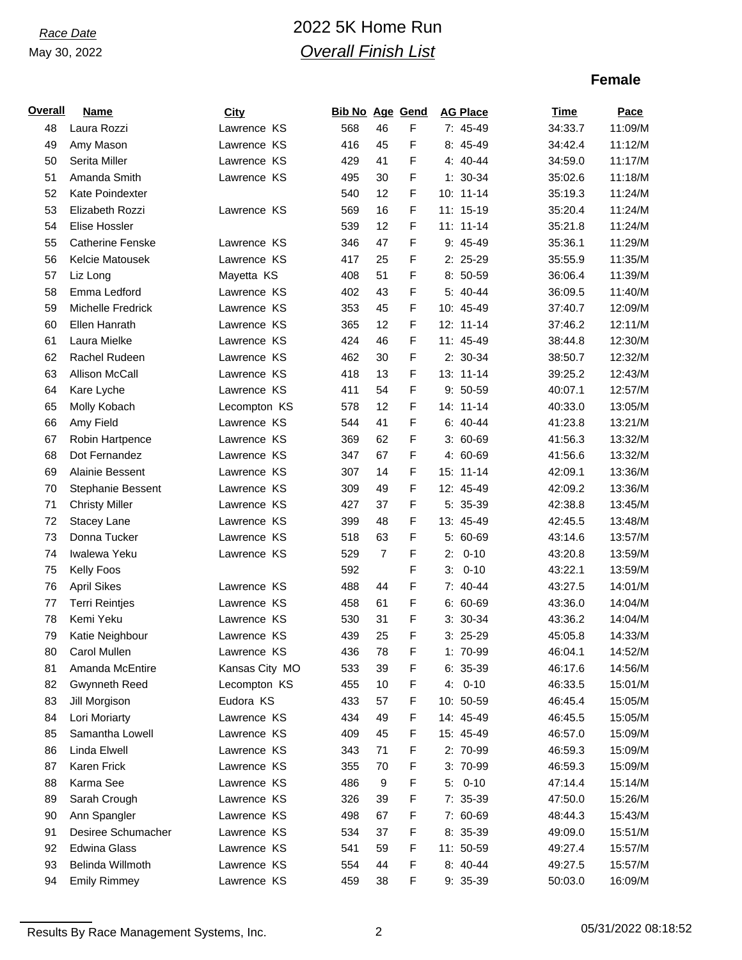# *Race Date* 2022 5K Home Run *Overall Finish List*

## **Female**

| <u>Overall</u> | Name                    | City           | <b>Bib No Age Gend</b> |                |   | <b>AG Place</b> | Time    | Pace    |
|----------------|-------------------------|----------------|------------------------|----------------|---|-----------------|---------|---------|
| 48             | Laura Rozzi             | Lawrence KS    | 568                    | 46             | F | 7: 45-49        | 34:33.7 | 11:09/M |
| 49             | Amy Mason               | Lawrence KS    | 416                    | 45             | F | 8: 45-49        | 34:42.4 | 11:12/M |
| 50             | Serita Miller           | Lawrence KS    | 429                    | 41             | F | 4: 40-44        | 34:59.0 | 11:17/M |
| 51             | Amanda Smith            | Lawrence KS    | 495                    | 30             | F | $1: 30-34$      | 35:02.6 | 11:18/M |
| 52             | Kate Poindexter         |                | 540                    | 12             | F | 10: 11-14       | 35:19.3 | 11:24/M |
| 53             | Elizabeth Rozzi         | Lawrence KS    | 569                    | 16             | F | 11: 15-19       | 35:20.4 | 11:24/M |
| 54             | Elise Hossler           |                | 539                    | 12             | F | $11: 11-14$     | 35:21.8 | 11:24/M |
| 55             | <b>Catherine Fenske</b> | Lawrence KS    | 346                    | 47             | F | 9: 45-49        | 35:36.1 | 11:29/M |
| 56             | Kelcie Matousek         | Lawrence KS    | 417                    | 25             | F | 2: 25-29        | 35:55.9 | 11:35/M |
| 57             | Liz Long                | Mayetta KS     | 408                    | 51             | F | 8: 50-59        | 36:06.4 | 11:39/M |
| 58             | Emma Ledford            | Lawrence KS    | 402                    | 43             | F | 5: 40-44        | 36:09.5 | 11:40/M |
| 59             | Michelle Fredrick       | Lawrence KS    | 353                    | 45             | F | 10: 45-49       | 37:40.7 | 12:09/M |
| 60             | Ellen Hanrath           | Lawrence KS    | 365                    | 12             | F | 12: 11-14       | 37:46.2 | 12:11/M |
| 61             | Laura Mielke            | Lawrence KS    | 424                    | 46             | F | 11: 45-49       | 38:44.8 | 12:30/M |
| 62             | Rachel Rudeen           | Lawrence KS    | 462                    | 30             | F | 2: 30-34        | 38:50.7 | 12:32/M |
| 63             | <b>Allison McCall</b>   | Lawrence KS    | 418                    | 13             | F | 13: 11-14       | 39:25.2 | 12:43/M |
| 64             | Kare Lyche              | Lawrence KS    | 411                    | 54             | F | $9:50-59$       | 40:07.1 | 12:57/M |
| 65             | Molly Kobach            | Lecompton KS   | 578                    | 12             | F | 14: 11-14       | 40:33.0 | 13:05/M |
| 66             | Amy Field               | Lawrence KS    | 544                    | 41             | F | $6: 40-44$      | 41:23.8 | 13:21/M |
| 67             | Robin Hartpence         | Lawrence KS    | 369                    | 62             | F | $3:60-69$       | 41:56.3 | 13:32/M |
| 68             | Dot Fernandez           | Lawrence KS    | 347                    | 67             | F | 4: 60-69        | 41:56.6 | 13:32/M |
| 69             | Alainie Bessent         | Lawrence KS    | 307                    | 14             | F | 15: 11-14       | 42:09.1 | 13:36/M |
| 70             | Stephanie Bessent       | Lawrence KS    | 309                    | 49             | F | 12: 45-49       | 42:09.2 | 13:36/M |
| 71             | <b>Christy Miller</b>   | Lawrence KS    | 427                    | 37             | F | 5: 35-39        | 42:38.8 | 13:45/M |
| 72             | Stacey Lane             | Lawrence KS    | 399                    | 48             | F | 13: 45-49       | 42:45.5 | 13:48/M |
| 73             | Donna Tucker            | Lawrence KS    | 518                    | 63             | F | 5: 60-69        | 43:14.6 | 13:57/M |
| 74             | Iwalewa Yeku            | Lawrence KS    | 529                    | $\overline{7}$ | F | $0 - 10$<br>2:  | 43:20.8 | 13:59/M |
| 75             | Kelly Foos              |                | 592                    |                | F | $3: 0-10$       | 43:22.1 | 13:59/M |
| 76             | <b>April Sikes</b>      | Lawrence KS    | 488                    | 44             | F | 7: 40-44        | 43:27.5 | 14:01/M |
| 77             | <b>Terri Reintjes</b>   | Lawrence KS    | 458                    | 61             | F | $6: 60-69$      | 43:36.0 | 14:04/M |
| 78             | Kemi Yeku               | Lawrence KS    | 530                    | 31             | F | $3: 30-34$      | 43:36.2 | 14:04/M |
| 79             | Katie Neighbour         | Lawrence KS    | 439                    | 25             | F | $3: 25-29$      | 45:05.8 | 14:33/M |
| 80             | Carol Mullen            | Lawrence KS    | 436                    | 78             | F | 1: 70-99        | 46:04.1 | 14:52/M |
| 81             | Amanda McEntire         | Kansas City MO | 533                    | 39             | F | 6: 35-39        | 46:17.6 | 14:56/M |
| 82             | <b>Gwynneth Reed</b>    | Lecompton KS   | 455                    | 10             | F | $4: 0-10$       | 46:33.5 | 15:01/M |
| 83             | Jill Morgison           | Eudora KS      | 433                    | 57             | F | 10: 50-59       | 46:45.4 | 15:05/M |
| 84             | Lori Moriarty           | Lawrence KS    | 434                    | 49             | F | 14: 45-49       | 46:45.5 | 15:05/M |
| 85             | Samantha Lowell         | Lawrence KS    | 409                    | 45             | F | 15: 45-49       | 46:57.0 | 15:09/M |
| 86             | Linda Elwell            | Lawrence KS    | 343                    | 71             | F | 2: 70-99        | 46:59.3 | 15:09/M |
| 87             | Karen Frick             | Lawrence KS    | 355                    | 70             | F | 3: 70-99        | 46:59.3 | 15:09/M |
| 88             | Karma See               | Lawrence KS    | 486                    | 9              | F | $5: 0-10$       | 47:14.4 | 15:14/M |
| 89             | Sarah Crough            | Lawrence KS    | 326                    | 39             | F | 7: 35-39        | 47:50.0 | 15:26/M |
| 90             | Ann Spangler            | Lawrence KS    | 498                    | 67             | F | 7: 60-69        | 48:44.3 | 15:43/M |
| 91             | Desiree Schumacher      | Lawrence KS    | 534                    | 37             | F | 8: 35-39        | 49:09.0 | 15:51/M |
| 92             | <b>Edwina Glass</b>     | Lawrence KS    | 541                    | 59             | F | 11: 50-59       | 49:27.4 | 15:57/M |
| 93             | Belinda Willmoth        | Lawrence KS    | 554                    | 44             | F | 8: 40-44        | 49:27.5 | 15:57/M |
| 94             | <b>Emily Rimmey</b>     | Lawrence KS    | 459                    | 38             | F | 9: 35-39        | 50:03.0 | 16:09/M |

Results By Race Management Systems, Inc. 2 05/31/2022 08:18:52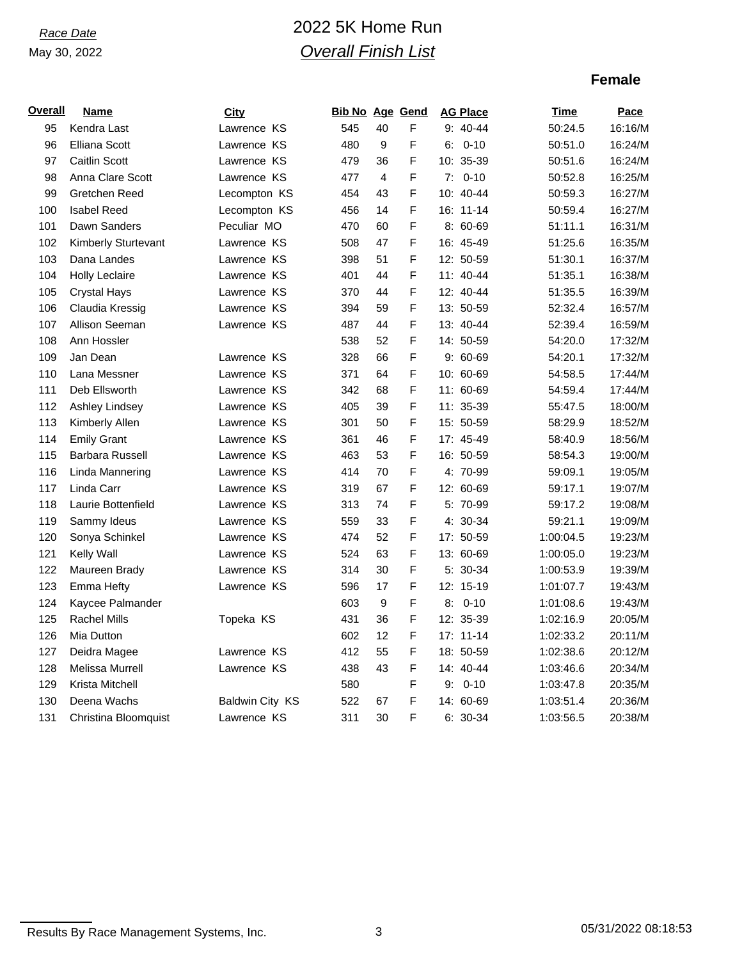# *Race Date* 2022 5K Home Run *Overall Finish List*

## **Female**

| Overall | <b>Name</b>                | <b>City</b>     | <b>Bib No Age Gend</b> |                |             | <b>AG Place</b> | Time      | Pace    |
|---------|----------------------------|-----------------|------------------------|----------------|-------------|-----------------|-----------|---------|
| 95      | Kendra Last                | Lawrence KS     | 545                    | 40             | $\mathsf F$ | $9: 40 - 44$    | 50:24.5   | 16:16/M |
| 96      | <b>Elliana Scott</b>       | Lawrence KS     | 480                    | 9              | F           | $6: 0-10$       | 50:51.0   | 16:24/M |
| 97      | <b>Caitlin Scott</b>       | Lawrence KS     | 479                    | 36             | F           | 10: 35-39       | 50:51.6   | 16:24/M |
| 98      | Anna Clare Scott           | Lawrence KS     | 477                    | $\overline{4}$ | F           | $7: 0-10$       | 50:52.8   | 16:25/M |
| 99      | Gretchen Reed              | Lecompton KS    | 454                    | 43             | $\mathsf F$ | 10: 40-44       | 50:59.3   | 16:27/M |
| 100     | <b>Isabel Reed</b>         | Lecompton KS    | 456                    | 14             | $\mathsf F$ | 16: 11-14       | 50:59.4   | 16:27/M |
| 101     | Dawn Sanders               | Peculiar MO     | 470                    | 60             | $\mathsf F$ | $8:60-69$       | 51:11.1   | 16:31/M |
| 102     | <b>Kimberly Sturtevant</b> | Lawrence KS     | 508                    | 47             | F           | 16: 45-49       | 51:25.6   | 16:35/M |
| 103     | Dana Landes                | Lawrence KS     | 398                    | 51             | F           | 12: 50-59       | 51:30.1   | 16:37/M |
| 104     | <b>Holly Leclaire</b>      | Lawrence KS     | 401                    | 44             | F           | 11: 40-44       | 51:35.1   | 16:38/M |
| 105     | <b>Crystal Hays</b>        | Lawrence KS     | 370                    | 44             | $\mathsf F$ | 12: 40-44       | 51:35.5   | 16:39/M |
| 106     | Claudia Kressig            | Lawrence KS     | 394                    | 59             | $\mathsf F$ | 13: 50-59       | 52:32.4   | 16:57/M |
| 107     | Allison Seeman             | Lawrence KS     | 487                    | 44             | $\mathsf F$ | 13: 40-44       | 52:39.4   | 16:59/M |
| 108     | Ann Hossler                |                 | 538                    | 52             | $\mathsf F$ | 14: 50-59       | 54:20.0   | 17:32/M |
| 109     | Jan Dean                   | Lawrence KS     | 328                    | 66             | F           | $9:60-69$       | 54:20.1   | 17:32/M |
| 110     | Lana Messner               | Lawrence KS     | 371                    | 64             | F           | 10: 60-69       | 54:58.5   | 17:44/M |
| 111     | Deb Ellsworth              | Lawrence KS     | 342                    | 68             | $\mathsf F$ | 11: 60-69       | 54:59.4   | 17:44/M |
| 112     | Ashley Lindsey             | Lawrence KS     | 405                    | 39             | F           | 11: 35-39       | 55:47.5   | 18:00/M |
| 113     | Kimberly Allen             | Lawrence KS     | 301                    | 50             | F           | 15: 50-59       | 58:29.9   | 18:52/M |
| 114     | <b>Emily Grant</b>         | Lawrence KS     | 361                    | 46             | F           | 17: 45-49       | 58:40.9   | 18:56/M |
| 115     | <b>Barbara Russell</b>     | Lawrence KS     | 463                    | 53             | F           | 16: 50-59       | 58:54.3   | 19:00/M |
| 116     | Linda Mannering            | Lawrence KS     | 414                    | 70             | F           | 4: 70-99        | 59:09.1   | 19:05/M |
| 117     | Linda Carr                 | Lawrence KS     | 319                    | 67             | F           | 12: 60-69       | 59:17.1   | 19:07/M |
| 118     | Laurie Bottenfield         | Lawrence KS     | 313                    | 74             | F           | 5: 70-99        | 59:17.2   | 19:08/M |
| 119     | Sammy Ideus                | Lawrence KS     | 559                    | 33             | F           | 4: 30-34        | 59:21.1   | 19:09/M |
| 120     | Sonya Schinkel             | Lawrence KS     | 474                    | 52             | $\mathsf F$ | 17: 50-59       | 1:00:04.5 | 19:23/M |
| 121     | Kelly Wall                 | Lawrence KS     | 524                    | 63             | F           | 13: 60-69       | 1:00:05.0 | 19:23/M |
| 122     | Maureen Brady              | Lawrence KS     | 314                    | 30             | F           | 5: 30-34        | 1:00:53.9 | 19:39/M |
| 123     | Emma Hefty                 | Lawrence KS     | 596                    | 17             | F           | 12: 15-19       | 1:01:07.7 | 19:43/M |
| 124     | Kaycee Palmander           |                 | 603                    | 9              | F           | $8: 0-10$       | 1:01:08.6 | 19:43/M |
| 125     | <b>Rachel Mills</b>        | Topeka KS       | 431                    | 36             | $\mathsf F$ | 12: 35-39       | 1:02:16.9 | 20:05/M |
| 126     | Mia Dutton                 |                 | 602                    | 12             | F           | 17: 11-14       | 1:02:33.2 | 20:11/M |
| 127     | Deidra Magee               | Lawrence KS     | 412                    | 55             | F           | 18: 50-59       | 1:02:38.6 | 20:12/M |
| 128     | Melissa Murrell            | Lawrence KS     | 438                    | 43             | $\mathsf F$ | 14: 40-44       | 1:03:46.6 | 20:34/M |
| 129     | Krista Mitchell            |                 | 580                    |                | $\mathsf F$ | $9: 0-10$       | 1:03:47.8 | 20:35/M |
| 130     | Deena Wachs                | Baldwin City KS | 522                    | 67             | $\mathsf F$ | 14: 60-69       | 1:03:51.4 | 20:36/M |
| 131     | Christina Bloomquist       | Lawrence KS     | 311                    | 30             | F           | $6: 30-34$      | 1:03:56.5 | 20:38/M |

Results By Race Management Systems, Inc. 3 3 05/31/2022 08:18:53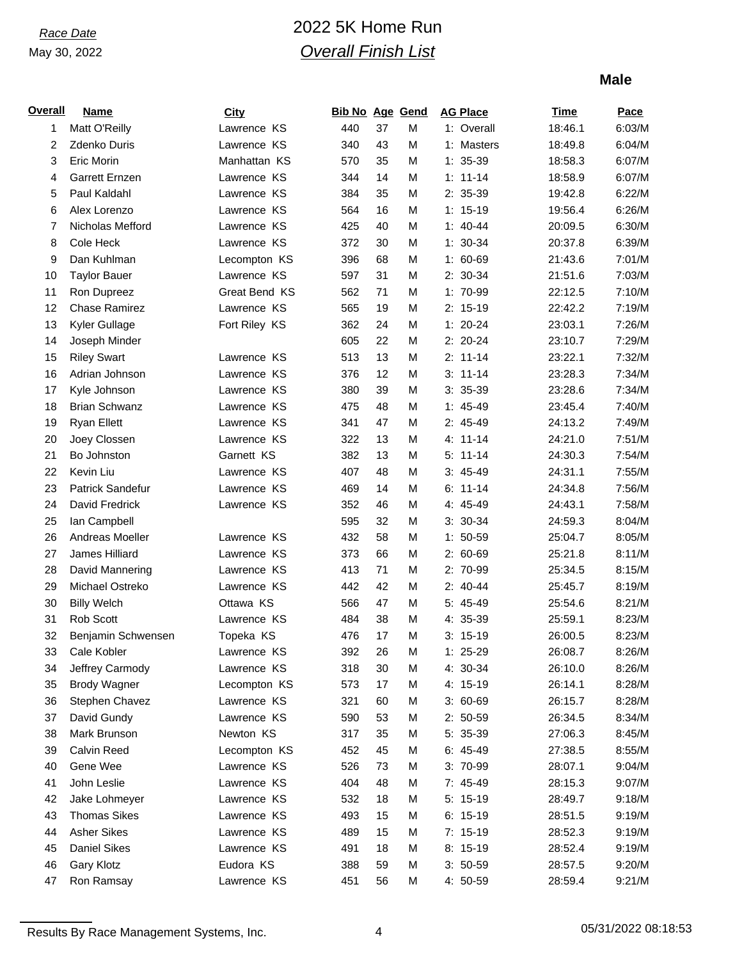# *Race Date* 2022 5K Home Run *Overall Finish List*

### **Male**

| <b>Overall</b> | <b>Name</b>          | <b>City</b>   | <b>Bib No Age Gend</b> |    |   | <b>AG Place</b> | <b>Time</b> | Pace   |
|----------------|----------------------|---------------|------------------------|----|---|-----------------|-------------|--------|
| 1              | Matt O'Reilly        | Lawrence KS   | 440                    | 37 | M | 1: Overall      | 18:46.1     | 6:03/M |
| 2              | <b>Zdenko Duris</b>  | Lawrence KS   | 340                    | 43 | M | 1: Masters      | 18:49.8     | 6:04/M |
| 3              | Eric Morin           | Manhattan KS  | 570                    | 35 | M | $1: 35-39$      | 18:58.3     | 6:07/M |
| 4              | Garrett Ernzen       | Lawrence KS   | 344                    | 14 | M | $1: 11 - 14$    | 18:58.9     | 6:07/M |
| 5              | Paul Kaldahl         | Lawrence KS   | 384                    | 35 | M | 2: 35-39        | 19:42.8     | 6:22/M |
| 6              | Alex Lorenzo         | Lawrence KS   | 564                    | 16 | M | $1: 15-19$      | 19:56.4     | 6:26/M |
| 7              | Nicholas Mefford     | Lawrence KS   | 425                    | 40 | M | $1: 40 - 44$    | 20:09.5     | 6:30/M |
| 8              | Cole Heck            | Lawrence KS   | 372                    | 30 | M | $1: 30-34$      | 20:37.8     | 6:39/M |
| 9              | Dan Kuhlman          | Lecompton KS  | 396                    | 68 | M | $1: 60-69$      | 21:43.6     | 7:01/M |
| 10             | <b>Taylor Bauer</b>  | Lawrence KS   | 597                    | 31 | M | 2: 30-34        | 21:51.6     | 7:03/M |
| 11             | Ron Dupreez          | Great Bend KS | 562                    | 71 | M | 1: 70-99        | 22:12.5     | 7:10/M |
| 12             | <b>Chase Ramirez</b> | Lawrence KS   | 565                    | 19 | M | $2: 15-19$      | 22:42.2     | 7:19/M |
| 13             | Kyler Gullage        | Fort Riley KS | 362                    | 24 | M | $1: 20-24$      | 23:03.1     | 7:26/M |
| 14             | Joseph Minder        |               | 605                    | 22 | M | 2: 20-24        | 23:10.7     | 7:29/M |
| 15             | <b>Riley Swart</b>   | Lawrence KS   | 513                    | 13 | M | $2: 11-14$      | 23:22.1     | 7:32/M |
| 16             | Adrian Johnson       | Lawrence KS   | 376                    | 12 | M | $3: 11-14$      | 23:28.3     | 7:34/M |
| 17             | Kyle Johnson         | Lawrence KS   | 380                    | 39 | M | $3: 35-39$      | 23:28.6     | 7:34/M |
| 18             | <b>Brian Schwanz</b> | Lawrence KS   | 475                    | 48 | M | $1: 45-49$      | 23:45.4     | 7:40/M |
| 19             | <b>Ryan Ellett</b>   | Lawrence KS   | 341                    | 47 | M | $2: 45-49$      | 24:13.2     | 7:49/M |
| 20             | Joey Clossen         | Lawrence KS   | 322                    | 13 | M | 4: 11-14        | 24:21.0     | 7:51/M |
| 21             | Bo Johnston          | Garnett KS    | 382                    | 13 | M | $5: 11-14$      | 24:30.3     | 7:54/M |
| 22             | Kevin Liu            | Lawrence KS   | 407                    | 48 | M | $3: 45-49$      | 24:31.1     | 7:55/M |
| 23             | Patrick Sandefur     | Lawrence KS   | 469                    | 14 | M | $6: 11-14$      | 24:34.8     | 7:56/M |
| 24             | David Fredrick       | Lawrence KS   | 352                    | 46 | M | 4: 45-49        | 24:43.1     | 7:58/M |
| 25             | lan Campbell         |               | 595                    | 32 | M | $3: 30-34$      | 24:59.3     | 8:04/M |
| 26             | Andreas Moeller      | Lawrence KS   | 432                    | 58 | M | $1: 50-59$      | 25:04.7     | 8:05/M |
| 27             | James Hilliard       | Lawrence KS   | 373                    | 66 | M | 2: 60-69        | 25:21.8     | 8:11/M |
| 28             | David Mannering      | Lawrence KS   | 413                    | 71 | M | 2: 70-99        | 25:34.5     | 8:15/M |
| 29             | Michael Ostreko      | Lawrence KS   | 442                    | 42 | M | $2: 40-44$      | 25:45.7     | 8:19/M |
| 30             | <b>Billy Welch</b>   | Ottawa KS     | 566                    | 47 | M | 5: 45-49        | 25:54.6     | 8:21/M |
| 31             | Rob Scott            | Lawrence KS   | 484                    | 38 | M | 4: 35-39        | 25:59.1     | 8:23/M |
| 32             | Benjamin Schwensen   | Topeka KS     | 476                    | 17 | M | $3: 15-19$      | 26:00.5     | 8:23/M |
| 33             | Cale Kobler          | Lawrence KS   | 392                    | 26 | M | $1: 25-29$      | 26:08.7     | 8:26/M |
| 34             | Jeffrey Carmody      | Lawrence KS   | 318                    | 30 | M | 4: 30-34        | 26:10.0     | 8:26/M |
| 35             | <b>Brody Wagner</b>  | Lecompton KS  | 573                    | 17 | M | 4: 15-19        | 26:14.1     | 8:28/M |
| 36             | Stephen Chavez       | Lawrence KS   | 321                    | 60 | M | $3:60-69$       | 26:15.7     | 8:28/M |
| 37             | David Gundy          | Lawrence KS   | 590                    | 53 | M | $2: 50-59$      | 26:34.5     | 8:34/M |
| 38             | Mark Brunson         | Newton KS     | 317                    | 35 | M | 5: 35-39        | 27:06.3     | 8:45/M |
| 39             | Calvin Reed          | Lecompton KS  | 452                    | 45 | M | $6: 45-49$      | 27:38.5     | 8:55/M |
| 40             | Gene Wee             | Lawrence KS   | 526                    | 73 | M | 3: 70-99        | 28:07.1     | 9:04/M |
| 41             | John Leslie          | Lawrence KS   | 404                    | 48 | M | 7: 45-49        | 28:15.3     | 9:07/M |
| 42             | Jake Lohmeyer        | Lawrence KS   | 532                    | 18 | M | $5: 15-19$      | 28:49.7     | 9:18/M |
| 43             | <b>Thomas Sikes</b>  | Lawrence KS   | 493                    | 15 | M | $6: 15-19$      | 28:51.5     | 9:19/M |
| 44             | <b>Asher Sikes</b>   | Lawrence KS   | 489                    | 15 | M | $7: 15-19$      | 28:52.3     | 9:19/M |
| 45             | <b>Daniel Sikes</b>  | Lawrence KS   | 491                    | 18 | M | $8: 15-19$      | 28:52.4     | 9:19/M |
| 46             | <b>Gary Klotz</b>    | Eudora KS     | 388                    | 59 | M | $3: 50-59$      | 28:57.5     | 9:20/M |
| 47             | Ron Ramsay           | Lawrence KS   | 451                    | 56 | М | 4: 50-59        | 28:59.4     | 9:21/M |

Results By Race Management Systems, Inc. 4 6 and 4 05/31/2022 08:18:53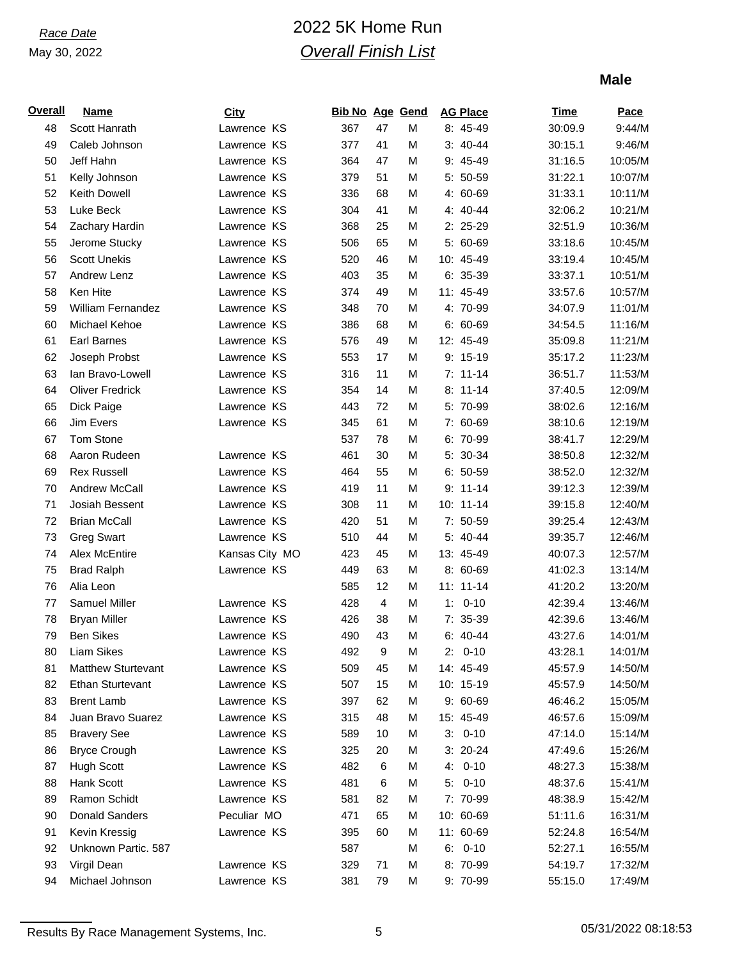# *Race Date* 2022 5K Home Run *Overall Finish List*

### **Male**

| <u>Overall</u> | <b>Name</b>               | <b>City</b>    | <b>Bib No Age Gend</b> |    |   | <b>AG Place</b> | <b>Time</b> | Pace    |
|----------------|---------------------------|----------------|------------------------|----|---|-----------------|-------------|---------|
| 48             | Scott Hanrath             | Lawrence KS    | 367                    | 47 | M | 8: 45-49        | 30:09.9     | 9:44/M  |
| 49             | Caleb Johnson             | Lawrence KS    | 377                    | 41 | M | $3: 40-44$      | 30:15.1     | 9:46/M  |
| 50             | Jeff Hahn                 | Lawrence KS    | 364                    | 47 | M | 9: 45-49        | 31:16.5     | 10:05/M |
| 51             | Kelly Johnson             | Lawrence KS    | 379                    | 51 | M | 5: 50-59        | 31:22.1     | 10:07/M |
| 52             | Keith Dowell              | Lawrence KS    | 336                    | 68 | M | 4: 60-69        | 31:33.1     | 10:11/M |
| 53             | Luke Beck                 | Lawrence KS    | 304                    | 41 | M | 4: 40-44        | 32:06.2     | 10:21/M |
| 54             | Zachary Hardin            | Lawrence KS    | 368                    | 25 | M | $2: 25-29$      | 32:51.9     | 10:36/M |
| 55             | Jerome Stucky             | Lawrence KS    | 506                    | 65 | M | 5: 60-69        | 33:18.6     | 10:45/M |
| 56             | <b>Scott Unekis</b>       | Lawrence KS    | 520                    | 46 | M | 10: 45-49       | 33:19.4     | 10:45/M |
| 57             | Andrew Lenz               | Lawrence KS    | 403                    | 35 | M | $6: 35-39$      | 33:37.1     | 10:51/M |
| 58             | Ken Hite                  | Lawrence KS    | 374                    | 49 | M | 11: 45-49       | 33:57.6     | 10:57/M |
| 59             | William Fernandez         | Lawrence KS    | 348                    | 70 | M | 4: 70-99        | 34:07.9     | 11:01/M |
| 60             | Michael Kehoe             | Lawrence KS    | 386                    | 68 | M | $6: 60-69$      | 34:54.5     | 11:16/M |
| 61             | <b>Earl Barnes</b>        | Lawrence KS    | 576                    | 49 | M | 12: 45-49       | 35:09.8     | 11:21/M |
| 62             | Joseph Probst             | Lawrence KS    | 553                    | 17 | M | $9: 15-19$      | 35:17.2     | 11:23/M |
| 63             | lan Bravo-Lowell          | Lawrence KS    | 316                    | 11 | M | $7: 11-14$      | 36:51.7     | 11:53/M |
| 64             | <b>Oliver Fredrick</b>    | Lawrence KS    | 354                    | 14 | M | $8: 11-14$      | 37:40.5     | 12:09/M |
| 65             | Dick Paige                | Lawrence KS    | 443                    | 72 | M | 5: 70-99        | 38:02.6     | 12:16/M |
| 66             | Jim Evers                 | Lawrence KS    | 345                    | 61 | M | 7: 60-69        | 38:10.6     | 12:19/M |
| 67             | <b>Tom Stone</b>          |                | 537                    | 78 | M | 6: 70-99        | 38:41.7     | 12:29/M |
| 68             | Aaron Rudeen              | Lawrence KS    | 461                    | 30 | M | 5: 30-34        | 38:50.8     | 12:32/M |
| 69             | <b>Rex Russell</b>        | Lawrence KS    | 464                    | 55 | M | $6: 50-59$      | 38:52.0     | 12:32/M |
| 70             | Andrew McCall             | Lawrence KS    | 419                    | 11 | M | $9: 11-14$      | 39:12.3     | 12:39/M |
| 71             | Josiah Bessent            | Lawrence KS    | 308                    | 11 | M | 10: 11-14       | 39:15.8     | 12:40/M |
| 72             | <b>Brian McCall</b>       | Lawrence KS    | 420                    | 51 | M | 7: 50-59        | 39:25.4     | 12:43/M |
| 73             | <b>Greg Swart</b>         | Lawrence KS    | 510                    | 44 | M | 5: 40-44        | 39:35.7     | 12:46/M |
| 74             | Alex McEntire             | Kansas City MO | 423                    | 45 | M | 13: 45-49       | 40:07.3     | 12:57/M |
| 75             | <b>Brad Ralph</b>         | Lawrence KS    | 449                    | 63 | M | 8: 60-69        | 41:02.3     | 13:14/M |
| 76             | Alia Leon                 |                | 585                    | 12 | M | $11: 11-14$     | 41:20.2     | 13:20/M |
| $77$           | Samuel Miller             | Lawrence KS    | 428                    | 4  | M | $1: 0-10$       | 42:39.4     | 13:46/M |
| 78             | <b>Bryan Miller</b>       | Lawrence KS    | 426                    | 38 | M | 7: 35-39        | 42:39.6     | 13:46/M |
| 79             | <b>Ben Sikes</b>          | Lawrence KS    | 490                    | 43 | M | $6: 40-44$      | 43:27.6     | 14:01/M |
| 80             | Liam Sikes                | Lawrence KS    | 492                    | 9  | М | $2: 0-10$       | 43:28.1     | 14:01/M |
| 81             | <b>Matthew Sturtevant</b> | Lawrence KS    | 509                    | 45 | M | 14: 45-49       | 45:57.9     | 14:50/M |
| 82             | <b>Ethan Sturtevant</b>   | Lawrence KS    | 507                    | 15 | M | 10: 15-19       | 45:57.9     | 14:50/M |
| 83             | <b>Brent Lamb</b>         | Lawrence KS    | 397                    | 62 | M | $9:60-69$       | 46:46.2     | 15:05/M |
| 84             | Juan Bravo Suarez         | Lawrence KS    | 315                    | 48 | M | 15: 45-49       | 46:57.6     | 15:09/M |
| 85             | <b>Bravery See</b>        | Lawrence KS    | 589                    | 10 | M | $3: 0-10$       | 47:14.0     | 15:14/M |
| 86             | <b>Bryce Crough</b>       | Lawrence KS    | 325                    | 20 | M | $3: 20-24$      | 47:49.6     | 15:26/M |
| 87             | <b>Hugh Scott</b>         | Lawrence KS    | 482                    | 6  | M | 4: 0-10         | 48:27.3     | 15:38/M |
| 88             | Hank Scott                | Lawrence KS    | 481                    | 6  | M | $5: 0-10$       | 48:37.6     | 15:41/M |
| 89             | Ramon Schidt              | Lawrence KS    | 581                    | 82 | M | 7: 70-99        | 48:38.9     | 15:42/M |
| 90             | Donald Sanders            | Peculiar MO    | 471                    | 65 | M | 10: 60-69       | 51:11.6     | 16:31/M |
| 91             | Kevin Kressig             | Lawrence KS    | 395                    | 60 | M | 11: 60-69       | 52:24.8     | 16:54/M |
| 92             | Unknown Partic. 587       |                | 587                    |    | M | $6: 0-10$       | 52:27.1     | 16:55/M |
| 93             | Virgil Dean               | Lawrence KS    | 329                    | 71 | M | 8: 70-99        | 54:19.7     | 17:32/M |
| 94             | Michael Johnson           | Lawrence KS    | 381                    | 79 | M | 9: 70-99        | 55:15.0     | 17:49/M |

Results By Race Management Systems, Inc. 6 05/31/2022 08:18:53